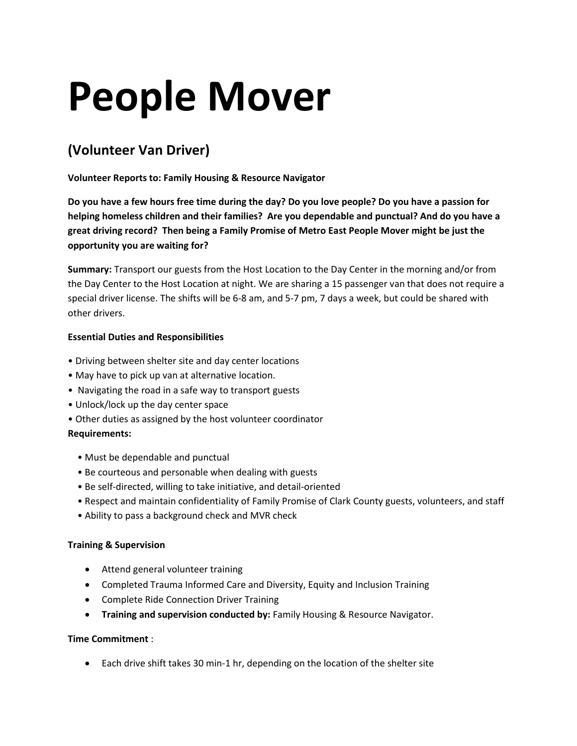# **People Mover**

## **(Volunteer Van Driver)**

**Volunteer Reports to: Family Housing & Resource Navigator**

**Do you have a few hours free time during the day? Do you love people? Do you have a passion for helping homeless children and their families? Are you dependable and punctual? And do you have a great driving record? Then being a Family Promise of Metro East People Mover might be just the opportunity you are waiting for?**

**Summary:** Transport our guests from the Host Location to the Day Center in the morning and/or from the Day Center to the Host Location at night. We are sharing a 15 passenger van that does not require a special driver license. The shifts will be 6-8 am, and 5-7 pm, 7 days a week, but could be shared with other drivers.

### **Essential Duties and Responsibilities**

- Driving between shelter site and day center locations
- May have to pick up van at alternative location.
- Navigating the road in a safe way to transport guests
- Unlock/lock up the day center space
- Other duties as assigned by the host volunteer coordinator

#### **Requirements:**

- Must be dependable and punctual
- Be courteous and personable when dealing with guests
- Be self-directed, willing to take initiative, and detail-oriented
- Respect and maintain confidentiality of Family Promise of Clark County guests, volunteers, and staff
- Ability to pass a background check and MVR check

#### **Training & Supervision**

- Attend general volunteer training
- Completed Trauma Informed Care and Diversity, Equity and Inclusion Training
- Complete Ride Connection Driver Training
- **Training and supervision conducted by:** Family Housing & Resource Navigator.

#### **Time Commitment** :

• Each drive shift takes 30 min-1 hr, depending on the location of the shelter site